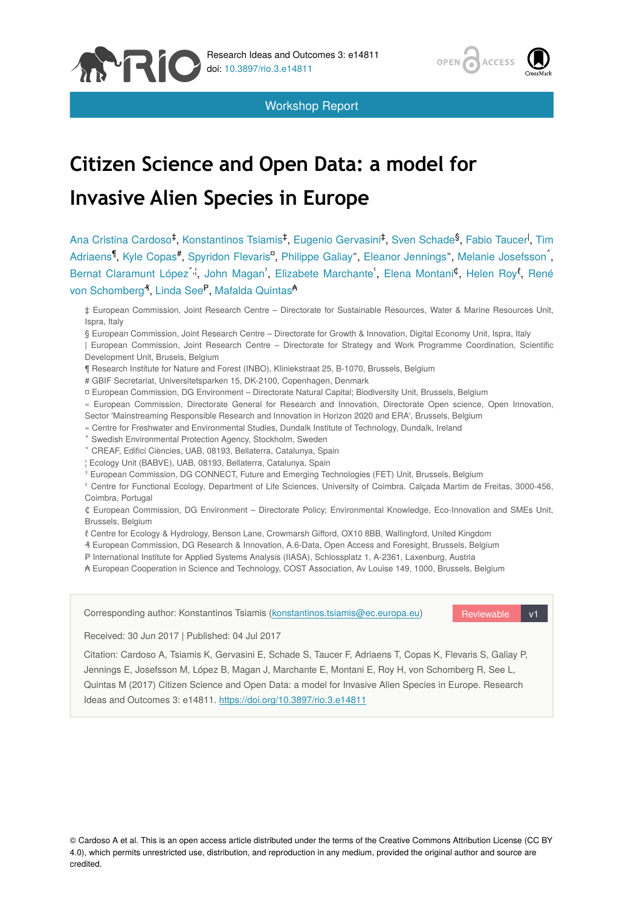

Workshop Report

# **Citizen Science and Open Data: a model for Invasive Alien Species in Europe**

Ana Cristina Cardoso<sup>‡</sup>, Konstantinos Tsiamis<sup>‡</sup>, Eugenio Gervasini<sup>‡</sup>, Sven Schade<sup>§</sup>, Fabio Taucer<sup>l</sup>, Tim Adriaens<sup>¶</sup>, Kyle Copas<sup>#</sup>, Spyridon Flevaris<sup>n</sup>, Philippe Galiay", Eleanor Jennings", Melanie Josefsson<sup>^</sup>, Bernat Claramunt López<sup>",i</sup>, John Magan<sup>"</sup>, Elizabete Marchante<sup>"</sup>, Elena Montani<sup>¢</sup>, Helen Roy<sup>e</sup>, René von Schomberg<sup>3</sup>, Linda See<sup>P</sup>, Mafalda Quintas<sup>A</sup>

‡ European Commission, Joint Research Centre – Directorate for Sustainable Resources, Water & Marine Resources Unit, Ispra, Italy

§ European Commission, Joint Research Centre – Directorate for Growth & Innovation, Digital Economy Unit, Ispra, Italy

| European Commission, Joint Research Centre – Directorate for Strategy and Work Programme Coordination, Scientific Development Unit, Brusels, Belgium

- ¶ Research Institute for Nature and Forest (INBO), Kliniekstraat 25, B-1070, Brussels, Belgium
- # GBIF Secretariat, Universitetsparken 15, DK-2100, Copenhagen, Denmark
- ¤ European Commission, DG Environment Directorate Natural Capital; Biodiversity Unit, Brussels, Belgium
- « European Commission, Directorate General for Research and Innovation, Directorate Open science, Open Innovation,
- Sector 'Mainstreaming Responsible Research and Innovation in Horizon 2020 and ERA', Brussels, Belgium
- » Centre for Freshwater and Environmental Studies, Dundalk Institute of Technology, Dundalk, Ireland
- ˄ Swedish Environmental Protection Agency, Stockholm, Sweden
- ˅ CREAF, Edifici Ciències, UAB, 08193, Bellaterra, Catalunya, Spain
- ¦ Ecology Unit (BABVE), UAB, 08193, Bellaterra, Catalunya, Spain
- ˀ European Commission, DG CONNECT, Future and Emerging Technologies (FET) Unit, Brussels, Belgium

ˁ Centre for Functional Ecology, Department of Life Sciences, University of Coimbra. Calçada Martim de Freitas, 3000-456, Coimbra, Portugal

₵ European Commission, DG Environment – Directorate Policy; Environmental Knowledge, Eco-Innovation and SMEs Unit, Brussels, Belgium

ℓ Centre for Ecology & Hydrology, Benson Lane, Crowmarsh Gifford, OX10 8BB, Wallingford, United Kingdom

- ₰ European Commission, DG Research & Innovation, A.6-Data, Open Access and Foresight, Brussels, Belgium
- ₱ International Institute for Applied Systems Analysis (IIASA), Schlossplatz 1, A-2361, Laxenburg, Austria
- ₳ European Cooperation in Science and Technology, COST Association, Av Louise 149, 1000, Brussels, Belgium

Corresponding author: Konstantinos Tsiamis [\(konstantinos.tsiamis@ec.europa.eu\)](mailto:konstantinos.tsiamis@ec.europa.eu)

Reviewable v1

ACCESS

Received: 30 Jun 2017 | Published: 04 Jul 2017

Citation: Cardoso A, Tsiamis K, Gervasini E, Schade S, Taucer F, Adriaens T, Copas K, Flevaris S, Galiay P, Jennings E, Josefsson M, López B, Magan J, Marchante E, Montani E, Roy H, von Schomberg R, See L, Quintas M (2017) Citizen Science and Open Data: a model for Invasive Alien Species in Europe. Research Ideas and Outcomes 3: e14811.<https://doi.org/10.3897/rio.3.e14811>

© Cardoso A et al. This is an open access article distributed under the terms of the Creative Commons Attribution License (CC BY 4.0), which permits unrestricted use, distribution, and reproduction in any medium, provided the original author and source are credited.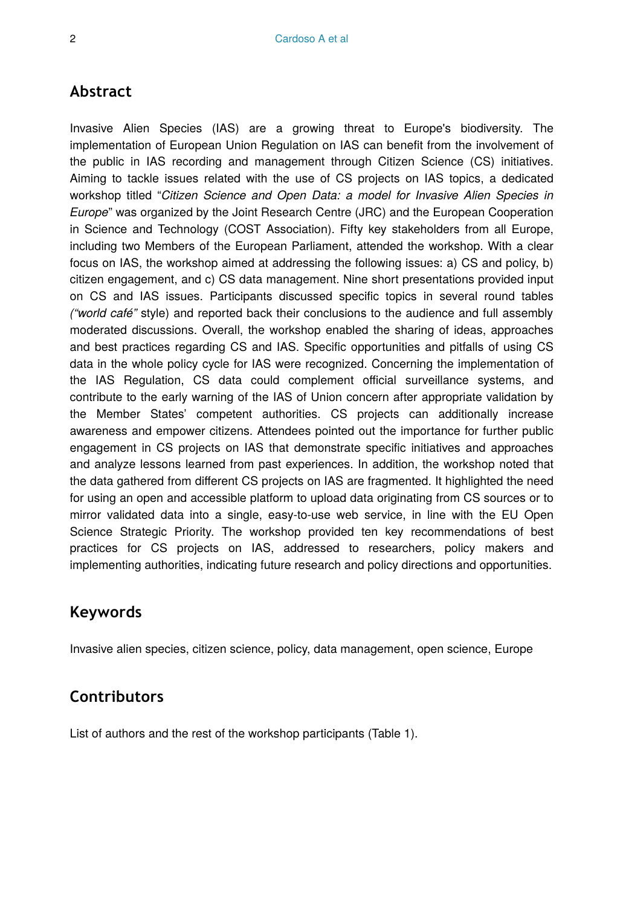## **Abstract**

Invasive Alien Species (IAS) are a growing threat to Europe's biodiversity. The implementation of European Union Regulation on IAS can benefit from the involvement of the public in IAS recording and management through Citizen Science (CS) initiatives. Aiming to tackle issues related with the use of CS projects on IAS topics, a dedicated workshop titled "*Citizen Science and Open Data: a model for Invasive Alien Species in Europe*" was organized by the Joint Research Centre (JRC) and the European Cooperation in Science and Technology (COST Association). Fifty key stakeholders from all Europe, including two Members of the European Parliament, attended the workshop. With a clear focus on IAS, the workshop aimed at addressing the following issues: a) CS and policy, b) citizen engagement, and c) CS data management. Nine short presentations provided input on CS and IAS issues. Participants discussed specific topics in several round tables *("world café"* style) and reported back their conclusions to the audience and full assembly moderated discussions. Overall, the workshop enabled the sharing of ideas, approaches and best practices regarding CS and IAS. Specific opportunities and pitfalls of using CS data in the whole policy cycle for IAS were recognized. Concerning the implementation of the IAS Regulation, CS data could complement official surveillance systems, and contribute to the early warning of the IAS of Union concern after appropriate validation by the Member States' competent authorities. CS projects can additionally increase awareness and empower citizens. Attendees pointed out the importance for further public engagement in CS projects on IAS that demonstrate specific initiatives and approaches and analyze lessons learned from past experiences. In addition, the workshop noted that the data gathered from different CS projects on IAS are fragmented. It highlighted the need for using an open and accessible platform to upload data originating from CS sources or to mirror validated data into a single, easy-to-use web service, in line with the EU Open Science Strategic Priority. The workshop provided ten key recommendations of best practices for CS projects on IAS, addressed to researchers, policy makers and implementing authorities, indicating future research and policy directions and opportunities.

# **Keywords**

Invasive alien species, citizen science, policy, data management, open science, Europe

# **Contributors**

List of authors and the rest of the workshop participants (Table 1).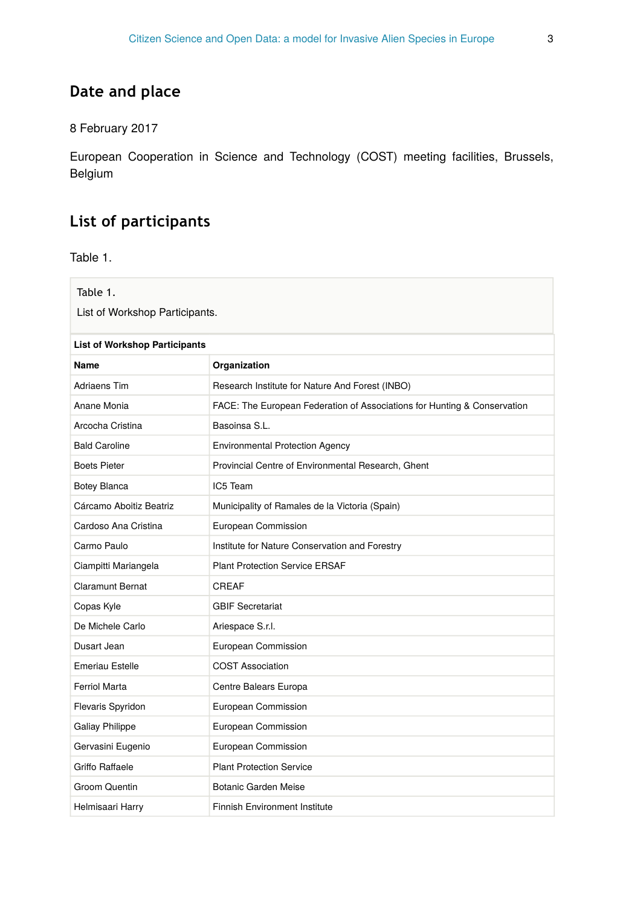# **Date and place**

## 8 February 2017

European Cooperation in Science and Technology (COST) meeting facilities, Brussels, Belgium

# **List of participants**

Table 1.

| Table 1.<br>List of Workshop Participants. |                                                                          |  |
|--------------------------------------------|--------------------------------------------------------------------------|--|
| <b>List of Workshop Participants</b>       |                                                                          |  |
| Name                                       | Organization                                                             |  |
| Adriaens Tim                               | Research Institute for Nature And Forest (INBO)                          |  |
| Anane Monia                                | FACE: The European Federation of Associations for Hunting & Conservation |  |
| Arcocha Cristina                           | Basoinsa S.L.                                                            |  |
| <b>Bald Caroline</b>                       | <b>Environmental Protection Agency</b>                                   |  |
| <b>Boets Pieter</b>                        | Provincial Centre of Environmental Research, Ghent                       |  |
| Botey Blanca                               | IC5 Team                                                                 |  |
| Cárcamo Aboitiz Beatriz                    | Municipality of Ramales de la Victoria (Spain)                           |  |
| Cardoso Ana Cristina                       | European Commission                                                      |  |
| Carmo Paulo                                | Institute for Nature Conservation and Forestry                           |  |
| Ciampitti Mariangela                       | <b>Plant Protection Service ERSAF</b>                                    |  |
| Claramunt Bernat                           | CREAF                                                                    |  |
| Copas Kyle                                 | <b>GBIF Secretariat</b>                                                  |  |
| De Michele Carlo                           | Ariespace S.r.l.                                                         |  |
| Dusart Jean                                | European Commission                                                      |  |
| Emeriau Estelle                            | <b>COST Association</b>                                                  |  |
| Ferriol Marta                              | Centre Balears Europa                                                    |  |
| Flevaris Spyridon                          | European Commission                                                      |  |
| <b>Galiay Philippe</b>                     | European Commission                                                      |  |
| Gervasini Eugenio                          | European Commission                                                      |  |
| Griffo Raffaele                            | <b>Plant Protection Service</b>                                          |  |
| Groom Quentin                              | Botanic Garden Meise                                                     |  |
| Helmisaari Harry                           | <b>Finnish Environment Institute</b>                                     |  |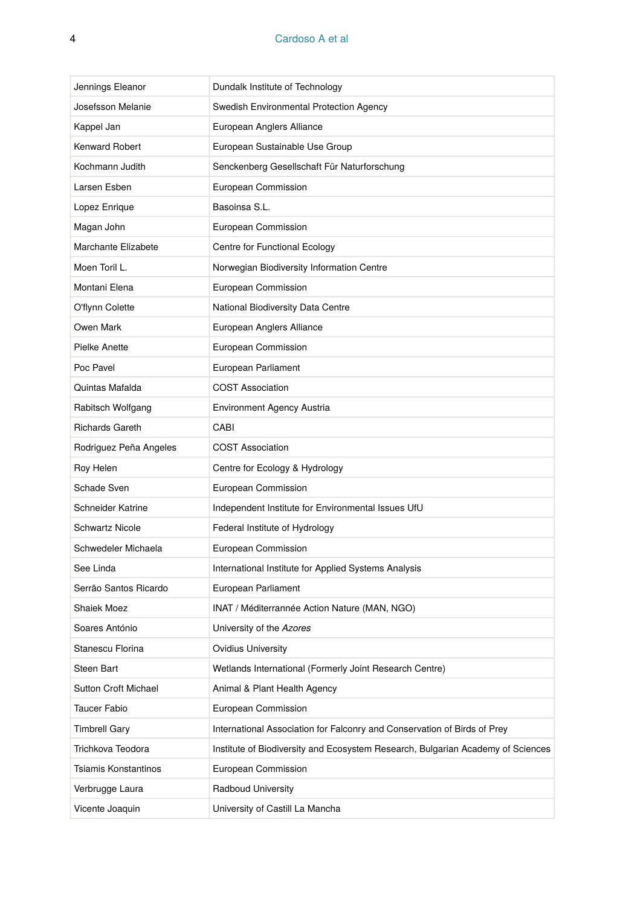| Jennings Eleanor       | Dundalk Institute of Technology                                                 |
|------------------------|---------------------------------------------------------------------------------|
| Josefsson Melanie      | Swedish Environmental Protection Agency                                         |
| Kappel Jan             | European Anglers Alliance                                                       |
| <b>Kenward Robert</b>  | European Sustainable Use Group                                                  |
| Kochmann Judith        | Senckenberg Gesellschaft Für Naturforschung                                     |
| Larsen Esben           | European Commission                                                             |
| Lopez Enrique          | Basoinsa S.L.                                                                   |
| Magan John             | European Commission                                                             |
| Marchante Elizabete    | Centre for Functional Ecology                                                   |
| Moen Toril L.          | Norwegian Biodiversity Information Centre                                       |
| Montani Elena          | European Commission                                                             |
| O'flynn Colette        | National Biodiversity Data Centre                                               |
| Owen Mark              | European Anglers Alliance                                                       |
| Pielke Anette          | European Commission                                                             |
| Poc Pavel              | European Parliament                                                             |
| Quintas Mafalda        | <b>COST Association</b>                                                         |
| Rabitsch Wolfgang      | Environment Agency Austria                                                      |
| <b>Richards Gareth</b> | CABI                                                                            |
| Rodriguez Peña Angeles | <b>COST Association</b>                                                         |
| Roy Helen              | Centre for Ecology & Hydrology                                                  |
| Schade Sven            | European Commission                                                             |
| Schneider Katrine      | Independent Institute for Environmental Issues UfU                              |
| <b>Schwartz Nicole</b> | Federal Institute of Hydrology                                                  |
| Schwedeler Michaela    | European Commission                                                             |
| See Linda              | International Institute for Applied Systems Analysis                            |
| Serrão Santos Ricardo  | European Parliament                                                             |
| Shaiek Moez            | INAT / Méditerrannée Action Nature (MAN, NGO)                                   |
| Soares António         | University of the Azores                                                        |
| Stanescu Florina       | <b>Ovidius University</b>                                                       |
| Steen Bart             | Wetlands International (Formerly Joint Research Centre)                         |
| Sutton Croft Michael   | Animal & Plant Health Agency                                                    |
| Taucer Fabio           | European Commission                                                             |
| <b>Timbrell Gary</b>   | International Association for Falconry and Conservation of Birds of Prey        |
| Trichkova Teodora      | Institute of Biodiversity and Ecosystem Research, Bulgarian Academy of Sciences |
| Tsiamis Konstantinos   | European Commission                                                             |
| Verbrugge Laura        | Radboud University                                                              |
| Vicente Joaquin        | University of Castill La Mancha                                                 |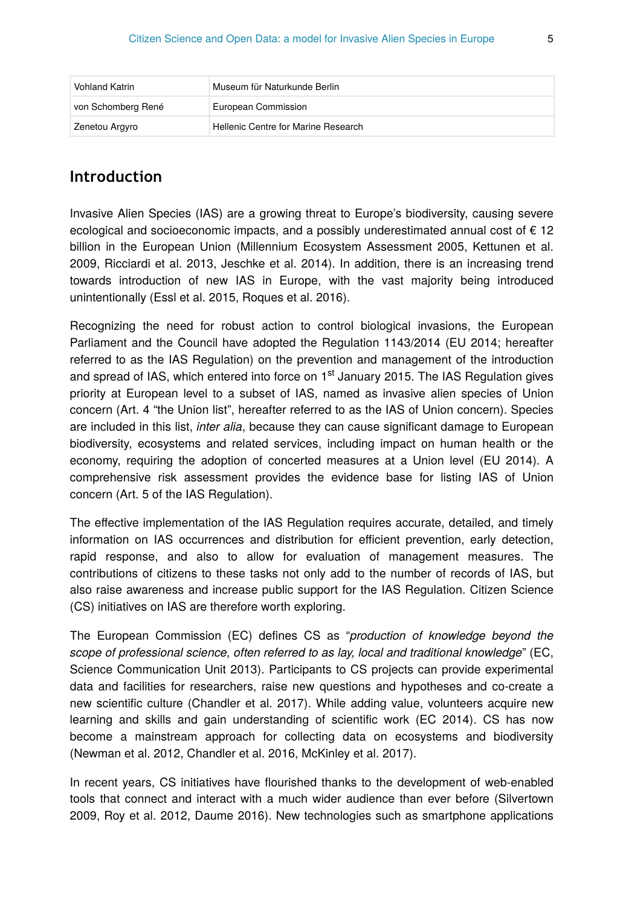| <b>Vohland Katrin</b> | Museum für Naturkunde Berlin        |
|-----------------------|-------------------------------------|
| von Schomberg René    | European Commission                 |
| Zenetou Argyro        | Hellenic Centre for Marine Research |

## **Introduction**

Invasive Alien Species (IAS) are a growing threat to Europe's biodiversity, causing severe ecological and socioeconomic impacts, and a possibly underestimated annual cost of  $\epsilon$  12 billion in the European Union (Millennium Ecosystem Assessment 2005, Kettunen et al. 2009, Ricciardi et al. 2013, Jeschke et al. 2014). In addition, there is an increasing trend towards introduction of new IAS in Europe, with the vast majority being introduced unintentionally (Essl et al. 2015, Roques et al. 2016).

Recognizing the need for robust action to control biological invasions, the European Parliament and the Council have adopted the Regulation 1143/2014 (EU 2014; hereafter referred to as the IAS Regulation) on the prevention and management of the introduction and spread of IAS, which entered into force on 1<sup>st</sup> January 2015. The IAS Regulation gives priority at European level to a subset of IAS, named as invasive alien species of Union concern (Art. 4 "the Union list", hereafter referred to as the IAS of Union concern). Species are included in this list, *inter alia*, because they can cause significant damage to European biodiversity, ecosystems and related services, including impact on human health or the economy, requiring the adoption of concerted measures at a Union level (EU 2014). A comprehensive risk assessment provides the evidence base for listing IAS of Union concern (Art. 5 of the IAS Regulation).

The effective implementation of the IAS Regulation requires accurate, detailed, and timely information on IAS occurrences and distribution for efficient prevention, early detection, rapid response, and also to allow for evaluation of management measures. The contributions of citizens to these tasks not only add to the number of records of IAS, but also raise awareness and increase public support for the IAS Regulation. Citizen Science (CS) initiatives on IAS are therefore worth exploring.

The European Commission (EC) defines CS as "*production of knowledge beyond the scope of professional science, often referred to as lay, local and traditional knowledge*" (EC, Science Communication Unit 2013). Participants to CS projects can provide experimental data and facilities for researchers, raise new questions and hypotheses and co-create a new scientific culture (Chandler et al. 2017). While adding value, volunteers acquire new learning and skills and gain understanding of scientific work (EC 2014). CS has now become a mainstream approach for collecting data on ecosystems and biodiversity (Newman et al. 2012, Chandler et al. 2016, McKinley et al. 2017).

In recent years, CS initiatives have flourished thanks to the development of web-enabled tools that connect and interact with a much wider audience than ever before (Silvertown 2009, Roy et al. 2012, Daume 2016). New technologies such as smartphone applications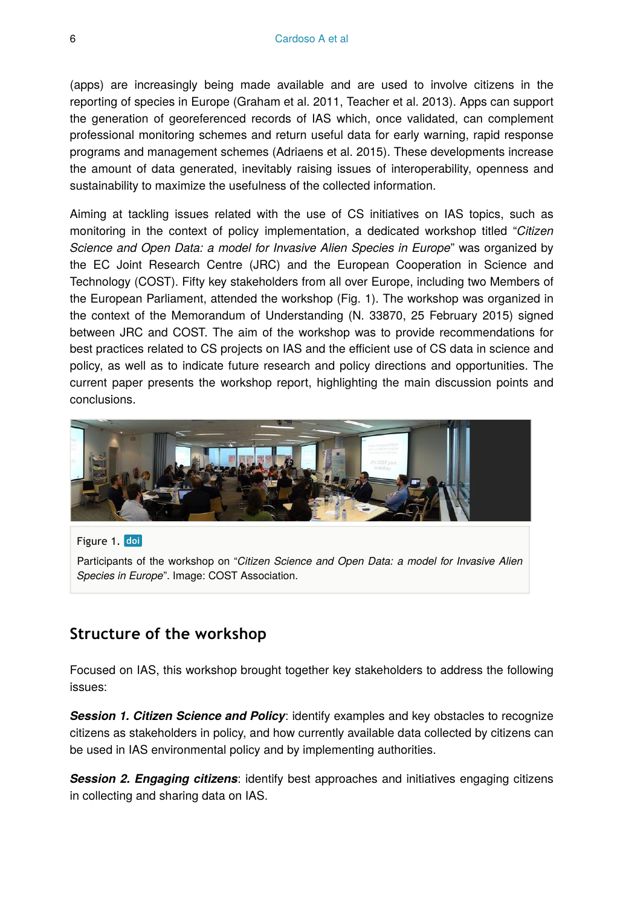(apps) are increasingly being made available and are used to involve citizens in the reporting of species in Europe (Graham et al. 2011, Teacher et al. 2013). Apps can support the generation of georeferenced records of IAS which, once validated, can complement professional monitoring schemes and return useful data for early warning, rapid response programs and management schemes (Adriaens et al. 2015). These developments increase the amount of data generated, inevitably raising issues of interoperability, openness and sustainability to maximize the usefulness of the collected information.

Aiming at tackling issues related with the use of CS initiatives on IAS topics, such as monitoring in the context of policy implementation, a dedicated workshop titled "*Citizen Science and Open Data: a model for Invasive Alien Species in Europe*" was organized by the EC Joint Research Centre (JRC) and the European Cooperation in Science and Technology (COST). Fifty key stakeholders from all over Europe, including two Members of the European Parliament, attended the workshop (Fig. 1). The workshop was organized in the context of the Memorandum of Understanding (N. 33870, 25 February 2015) signed between JRC and COST. The aim of the workshop was to provide recommendations for best practices related to CS projects on IAS and the efficient use of CS data in science and policy, as well as to indicate future research and policy directions and opportunities. The current paper presents the workshop report, highlighting the main discussion points and conclusions.



## Figure 1. doi Participants of the workshop on "*Citizen Science and Open Data: a model for Invasive Alien Species in Europe*". Image: COST Association.

## **Structure of the workshop**

Focused on IAS, this workshop brought together key stakeholders to address the following issues:

**Session 1. Citizen Science and Policy:** identify examples and key obstacles to recognize citizens as stakeholders in policy, and how currently available data collected by citizens can be used in IAS environmental policy and by implementing authorities.

*Session 2. Engaging citizens*: identify best approaches and initiatives engaging citizens in collecting and sharing data on IAS.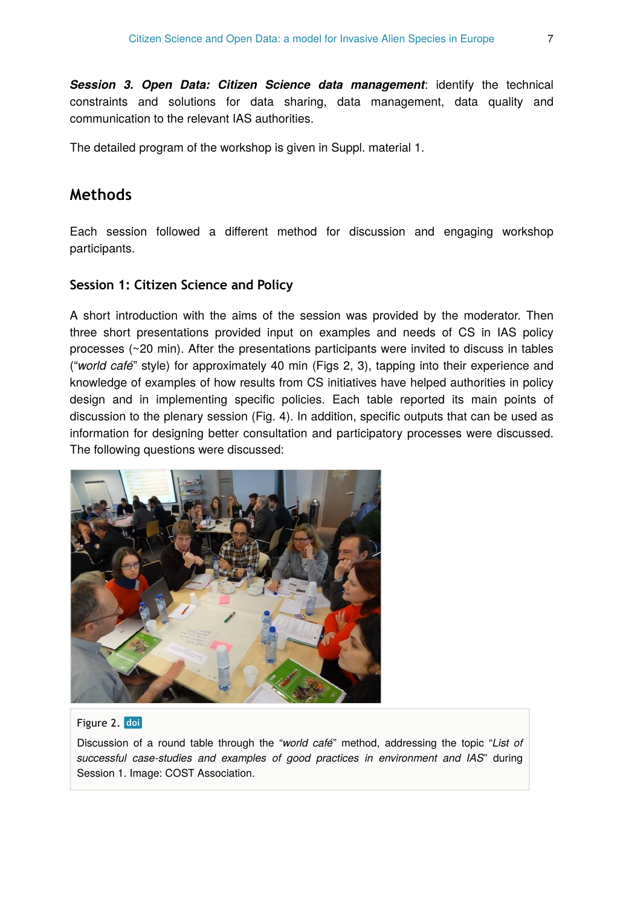*Session 3. Open Data: Citizen Science data management*: identify the technical constraints and solutions for data sharing, data management, data quality and communication to the relevant IAS authorities.

The detailed program of the workshop is given in Suppl. material 1.

# **Methods**

Each session followed a different method for discussion and engaging workshop participants.

#### **Session 1: Citizen Science and Policy**

A short introduction with the aims of the session was provided by the moderator. Then three short presentations provided input on examples and needs of CS in IAS policy processes (~20 min). After the presentations participants were invited to discuss in tables ("*world café*" style) for approximately 40 min (Figs 2, 3), tapping into their experience and knowledge of examples of how results from CS initiatives have helped authorities in policy design and in implementing specific policies. Each table reported its main points of discussion to the plenary session (Fig. 4). In addition, specific outputs that can be used as information for designing better consultation and participatory processes were discussed. The following questions were discussed:



#### Figure 2. doi

Discussion of a round table through the "*world café*" method, addressing the topic "*List of successful case-studies and examples of good practices in environment and IAS*" during Session 1. Image: COST Association.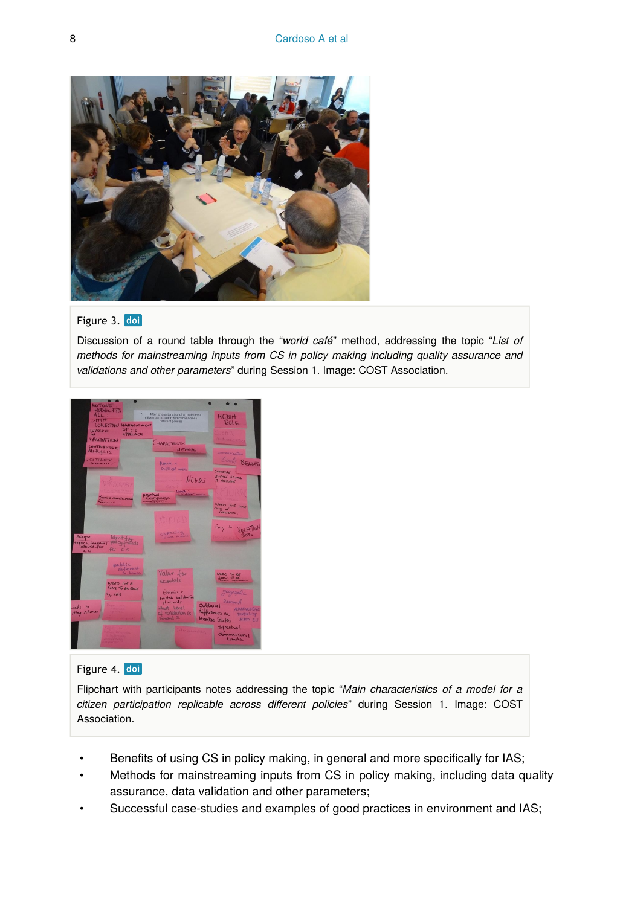

#### Figure 3. doi

Discussion of a round table through the "*world café*" method, addressing the topic "*List of methods for mainstreaming inputs from CS in policy making including quality assurance and validations and other parameters*" during Session 1. Image: COST Association.



#### Figure 4. doi

Flipchart with participants notes addressing the topic "*Main characteristics of a model for a citizen participation replicable across different policies*" during Session 1. Image: COST Association.

- Benefits of using CS in policy making, in general and more specifically for IAS;
- Methods for mainstreaming inputs from CS in policy making, including data quality assurance, data validation and other parameters;
- Successful case-studies and examples of good practices in environment and IAS;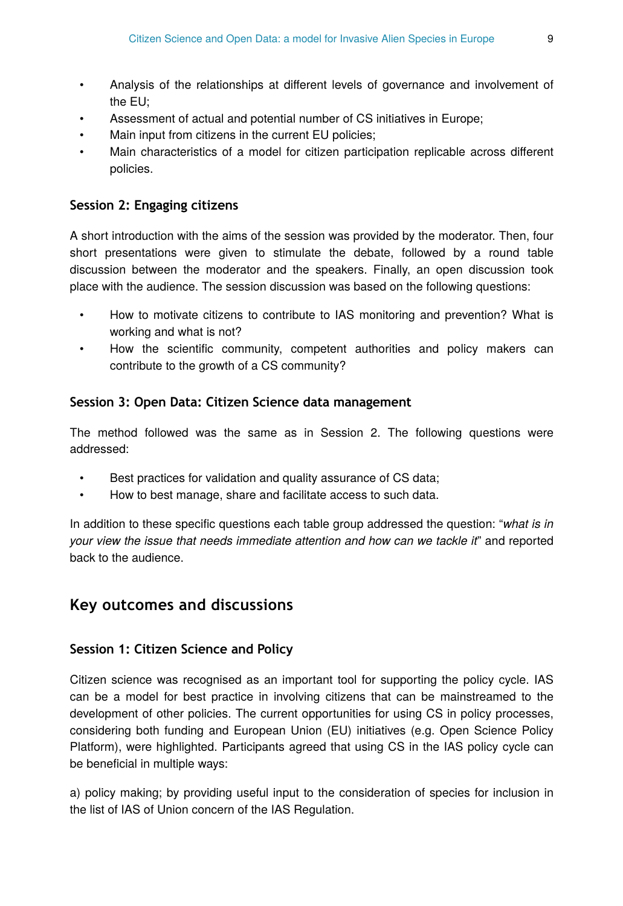- Analysis of the relationships at different levels of governance and involvement of the EU;
- Assessment of actual and potential number of CS initiatives in Europe;
- Main input from citizens in the current EU policies;
- Main characteristics of a model for citizen participation replicable across different policies.

#### **Session 2: Engaging citizens**

A short introduction with the aims of the session was provided by the moderator. Then, four short presentations were given to stimulate the debate, followed by a round table discussion between the moderator and the speakers. Finally, an open discussion took place with the audience. The session discussion was based on the following questions:

- How to motivate citizens to contribute to IAS monitoring and prevention? What is working and what is not?
- How the scientific community, competent authorities and policy makers can contribute to the growth of a CS community?

#### **Session 3: Open Data: Citizen Science data management**

The method followed was the same as in Session 2. The following questions were addressed:

- Best practices for validation and quality assurance of CS data;
- How to best manage, share and facilitate access to such data.

In addition to these specific questions each table group addressed the question: "*what is in your view the issue that needs immediate attention and how can we tackle it*" and reported back to the audience.

# **Key outcomes and discussions**

#### **Session 1: Citizen Science and Policy**

Citizen science was recognised as an important tool for supporting the policy cycle. IAS can be a model for best practice in involving citizens that can be mainstreamed to the development of other policies. The current opportunities for using CS in policy processes, considering both funding and European Union (EU) initiatives (e.g. Open Science Policy Platform), were highlighted. Participants agreed that using CS in the IAS policy cycle can be beneficial in multiple ways:

a) policy making; by providing useful input to the consideration of species for inclusion in the list of IAS of Union concern of the IAS Regulation.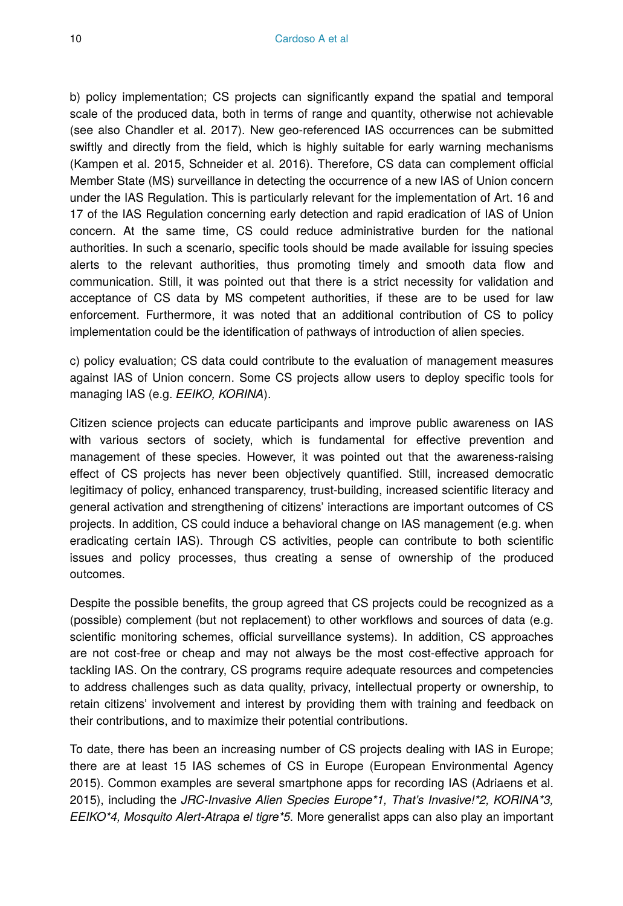b) policy implementation; CS projects can significantly expand the spatial and temporal scale of the produced data, both in terms of range and quantity, otherwise not achievable (see also Chandler et al. 2017). New geo-referenced IAS occurrences can be submitted swiftly and directly from the field, which is highly suitable for early warning mechanisms (Kampen et al. 2015, Schneider et al. 2016). Therefore, CS data can complement official Member State (MS) surveillance in detecting the occurrence of a new IAS of Union concern under the IAS Regulation. This is particularly relevant for the implementation of Art. 16 and 17 of the IAS Regulation concerning early detection and rapid eradication of IAS of Union concern. At the same time, CS could reduce administrative burden for the national authorities. In such a scenario, specific tools should be made available for issuing species alerts to the relevant authorities, thus promoting timely and smooth data flow and communication. Still, it was pointed out that there is a strict necessity for validation and acceptance of CS data by MS competent authorities, if these are to be used for law enforcement. Furthermore, it was noted that an additional contribution of CS to policy implementation could be the identification of pathways of introduction of alien species.

c) policy evaluation; CS data could contribute to the evaluation of management measures against IAS of Union concern. Some CS projects allow users to deploy specific tools for managing IAS (e.g. *EEIKO, KORINA*).

Citizen science projects can educate participants and improve public awareness on IAS with various sectors of society, which is fundamental for effective prevention and management of these species. However, it was pointed out that the awareness-raising effect of CS projects has never been objectively quantified. Still, increased democratic legitimacy of policy, enhanced transparency, trust-building, increased scientific literacy and general activation and strengthening of citizens' interactions are important outcomes of CS projects. In addition, CS could induce a behavioral change on IAS management (e.g. when eradicating certain IAS). Through CS activities, people can contribute to both scientific issues and policy processes, thus creating a sense of ownership of the produced outcomes.

Despite the possible benefits, the group agreed that CS projects could be recognized as a (possible) complement (but not replacement) to other workflows and sources of data (e.g. scientific monitoring schemes, official surveillance systems). In addition, CS approaches are not cost-free or cheap and may not always be the most cost-effective approach for tackling IAS. On the contrary, CS programs require adequate resources and competencies to address challenges such as data quality, privacy, intellectual property or ownership, to retain citizens' involvement and interest by providing them with training and feedback on their contributions, and to maximize their potential contributions.

To date, there has been an increasing number of CS projects dealing with IAS in Europe; there are at least 15 IAS schemes of CS in Europe (European Environmental Agency 2015). Common examples are several smartphone apps for recording IAS (Adriaens et al. 2015), including the *JRC-Invasive Alien Species Europe\*1, That's Invasive!\*2, KORINA\*3, EEIKO\*4, Mosquito Alert-Atrapa el tigre\*5.* More generalist apps can also play an important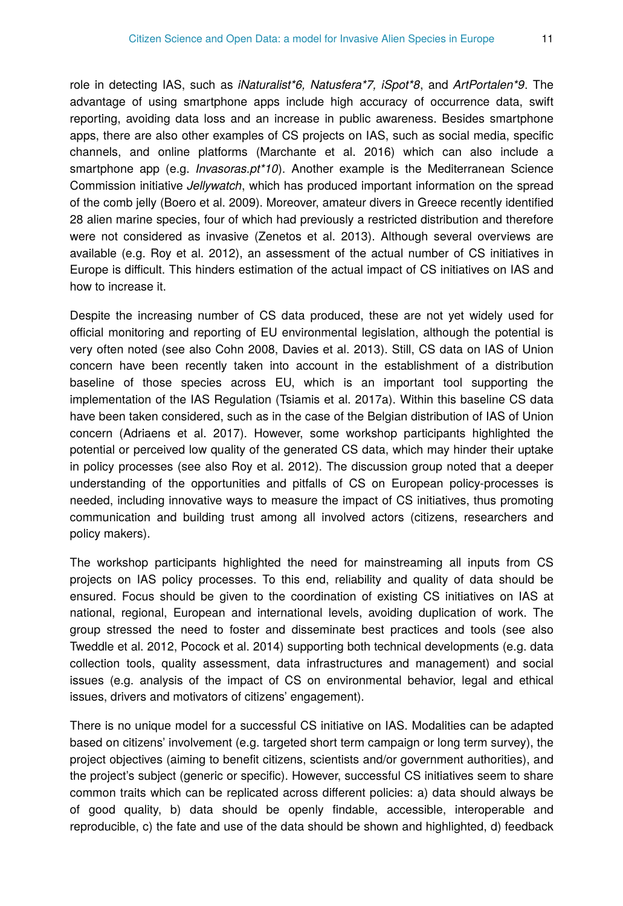role in detecting IAS, such as *iNaturalist\*6, Natusfera\*7, iSpot\*8*, and *ArtPortalen\*9*. The advantage of using smartphone apps include high accuracy of occurrence data, swift reporting, avoiding data loss and an increase in public awareness. Besides smartphone apps, there are also other examples of CS projects on IAS, such as social media, specific channels, and online platforms (Marchante et al. 2016) which can also include a smartphone app (e.g. *Invasoras.pt\*10*). Another example is the Mediterranean Science Commission initiative *Jellywatch*, which has produced important information on the spread of the comb jelly (Boero et al. 2009). Moreover, amateur divers in Greece recently identified 28 alien marine species, four of which had previously a restricted distribution and therefore were not considered as invasive (Zenetos et al. 2013). Although several overviews are available (e.g. Roy et al. 2012), an assessment of the actual number of CS initiatives in Europe is difficult. This hinders estimation of the actual impact of CS initiatives on IAS and how to increase it.

Despite the increasing number of CS data produced, these are not yet widely used for official monitoring and reporting of EU environmental legislation, although the potential is very often noted (see also Cohn 2008, Davies et al. 2013). Still, CS data on IAS of Union concern have been recently taken into account in the establishment of a distribution baseline of those species across EU, which is an important tool supporting the implementation of the IAS Regulation (Tsiamis et al. 2017a). Within this baseline CS data have been taken considered, such as in the case of the Belgian distribution of IAS of Union concern (Adriaens et al. 2017). However, some workshop participants highlighted the potential or perceived low quality of the generated CS data, which may hinder their uptake in policy processes (see also Roy et al. 2012). The discussion group noted that a deeper understanding of the opportunities and pitfalls of CS on European policy-processes is needed, including innovative ways to measure the impact of CS initiatives, thus promoting communication and building trust among all involved actors (citizens, researchers and policy makers).

The workshop participants highlighted the need for mainstreaming all inputs from CS projects on IAS policy processes. To this end, reliability and quality of data should be ensured. Focus should be given to the coordination of existing CS initiatives on IAS at national, regional, European and international levels, avoiding duplication of work. The group stressed the need to foster and disseminate best practices and tools (see also Tweddle et al. 2012, Pocock et al. 2014) supporting both technical developments (e.g. data collection tools, quality assessment, data infrastructures and management) and social issues (e.g. analysis of the impact of CS on environmental behavior, legal and ethical issues, drivers and motivators of citizens' engagement).

There is no unique model for a successful CS initiative on IAS. Modalities can be adapted based on citizens' involvement (e.g. targeted short term campaign or long term survey), the project objectives (aiming to benefit citizens, scientists and/or government authorities), and the project's subject (generic or specific). However, successful CS initiatives seem to share common traits which can be replicated across different policies: a) data should always be of good quality, b) data should be openly findable, accessible, interoperable and reproducible, c) the fate and use of the data should be shown and highlighted, d) feedback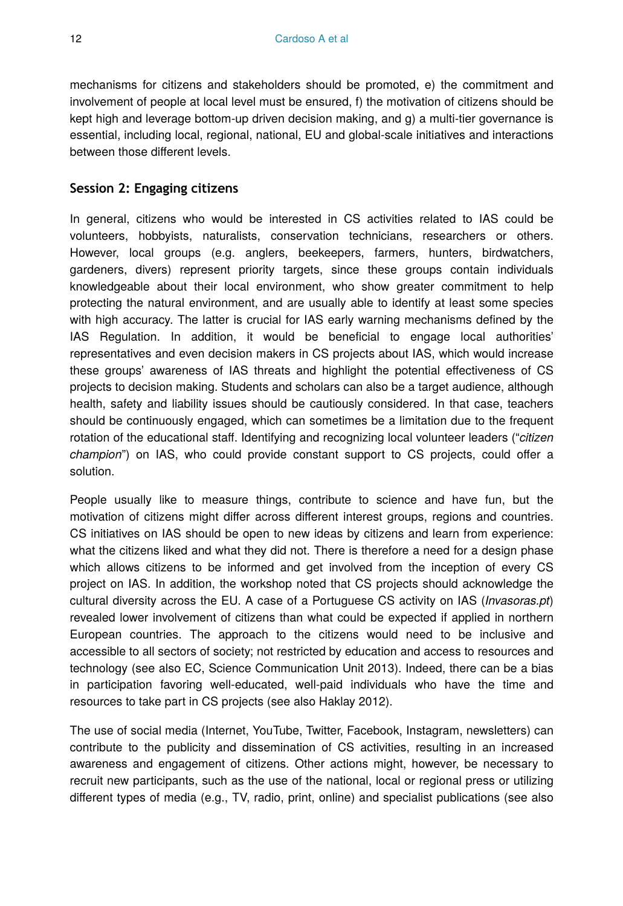mechanisms for citizens and stakeholders should be promoted, e) the commitment and involvement of people at local level must be ensured, f) the motivation of citizens should be kept high and leverage bottom-up driven decision making, and g) a multi-tier governance is essential, including local, regional, national, EU and global-scale initiatives and interactions between those different levels.

#### **Session 2: Engaging citizens**

In general, citizens who would be interested in CS activities related to IAS could be volunteers, hobbyists, naturalists, conservation technicians, researchers or others. However, local groups (e.g. anglers, beekeepers, farmers, hunters, birdwatchers, gardeners, divers) represent priority targets, since these groups contain individuals knowledgeable about their local environment, who show greater commitment to help protecting the natural environment, and are usually able to identify at least some species with high accuracy. The latter is crucial for IAS early warning mechanisms defined by the IAS Regulation. In addition, it would be beneficial to engage local authorities' representatives and even decision makers in CS projects about IAS, which would increase these groups' awareness of IAS threats and highlight the potential effectiveness of CS projects to decision making. Students and scholars can also be a target audience, although health, safety and liability issues should be cautiously considered. In that case, teachers should be continuously engaged, which can sometimes be a limitation due to the frequent rotation of the educational staff. Identifying and recognizing local volunteer leaders ("*citizen champion*") on IAS, who could provide constant support to CS projects, could offer a solution.

People usually like to measure things, contribute to science and have fun, but the motivation of citizens might differ across different interest groups, regions and countries. CS initiatives on IAS should be open to new ideas by citizens and learn from experience: what the citizens liked and what they did not. There is therefore a need for a design phase which allows citizens to be informed and get involved from the inception of every CS project on IAS. In addition, the workshop noted that CS projects should acknowledge the cultural diversity across the EU. A case of a Portuguese CS activity on IAS (*Invasoras.pt*) revealed lower involvement of citizens than what could be expected if applied in northern European countries. The approach to the citizens would need to be inclusive and accessible to all sectors of society; not restricted by education and access to resources and technology (see also EC, Science Communication Unit 2013). Indeed, there can be a bias in participation favoring well-educated, well-paid individuals who have the time and resources to take part in CS projects (see also Haklay 2012).

The use of social media (Internet, YouTube, Twitter, Facebook, Instagram, newsletters) can contribute to the publicity and dissemination of CS activities, resulting in an increased awareness and engagement of citizens. Other actions might, however, be necessary to recruit new participants, such as the use of the national, local or regional press or utilizing different types of media (e.g., TV, radio, print, online) and specialist publications (see also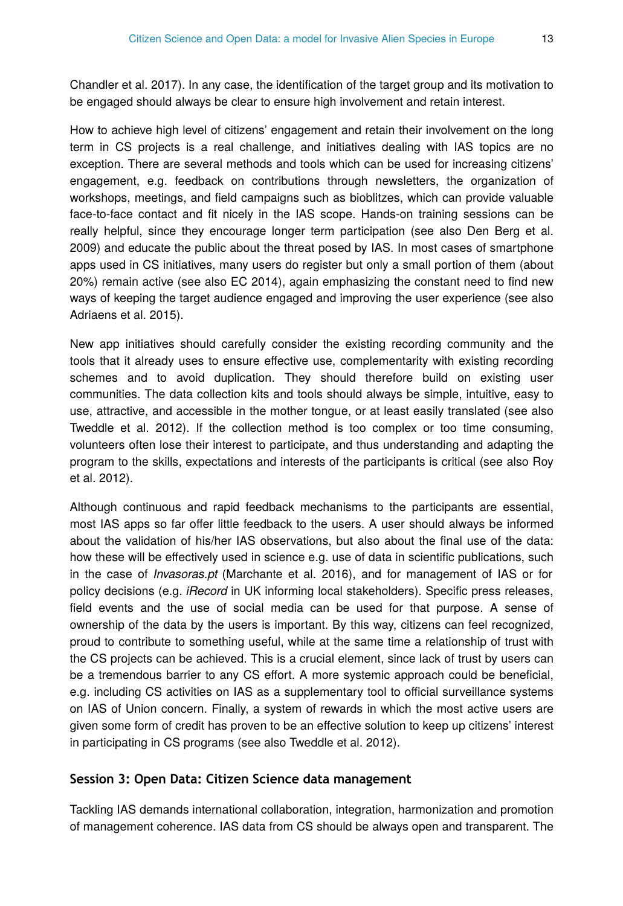Chandler et al. 2017). In any case, the identification of the target group and its motivation to be engaged should always be clear to ensure high involvement and retain interest.

How to achieve high level of citizens' engagement and retain their involvement on the long term in CS projects is a real challenge, and initiatives dealing with IAS topics are no exception. There are several methods and tools which can be used for increasing citizens' engagement, e.g. feedback on contributions through newsletters, the organization of workshops, meetings, and field campaigns such as bioblitzes, which can provide valuable face-to-face contact and fit nicely in the IAS scope. Hands-on training sessions can be really helpful, since they encourage longer term participation (see also Den Berg et al. 2009) and educate the public about the threat posed by IAS. In most cases of smartphone apps used in CS initiatives, many users do register but only a small portion of them (about 20%) remain active (see also EC 2014), again emphasizing the constant need to find new ways of keeping the target audience engaged and improving the user experience (see also Adriaens et al. 2015).

New app initiatives should carefully consider the existing recording community and the tools that it already uses to ensure effective use, complementarity with existing recording schemes and to avoid duplication. They should therefore build on existing user communities. The data collection kits and tools should always be simple, intuitive, easy to use, attractive, and accessible in the mother tongue, or at least easily translated (see also Tweddle et al. 2012). If the collection method is too complex or too time consuming, volunteers often lose their interest to participate, and thus understanding and adapting the program to the skills, expectations and interests of the participants is critical (see also Roy et al. 2012).

Although continuous and rapid feedback mechanisms to the participants are essential, most IAS apps so far offer little feedback to the users. A user should always be informed about the validation of his/her IAS observations, but also about the final use of the data: how these will be effectively used in science e.g. use of data in scientific publications, such in the case of *Invasoras.pt* (Marchante et al. 2016), and for management of IAS or for policy decisions (e.g. *iRecord* in UK informing local stakeholders). Specific press releases, field events and the use of social media can be used for that purpose. A sense of ownership of the data by the users is important. By this way, citizens can feel recognized, proud to contribute to something useful, while at the same time a relationship of trust with the CS projects can be achieved. This is a crucial element, since lack of trust by users can be a tremendous barrier to any CS effort. A more systemic approach could be beneficial, e.g. including CS activities on IAS as a supplementary tool to official surveillance systems on IAS of Union concern. Finally, a system of rewards in which the most active users are given some form of credit has proven to be an effective solution to keep up citizens' interest in participating in CS programs (see also Tweddle et al. 2012).

#### **Session 3: Open Data: Citizen Science data management**

Tackling IAS demands international collaboration, integration, harmonization and promotion of management coherence. IAS data from CS should be always open and transparent. The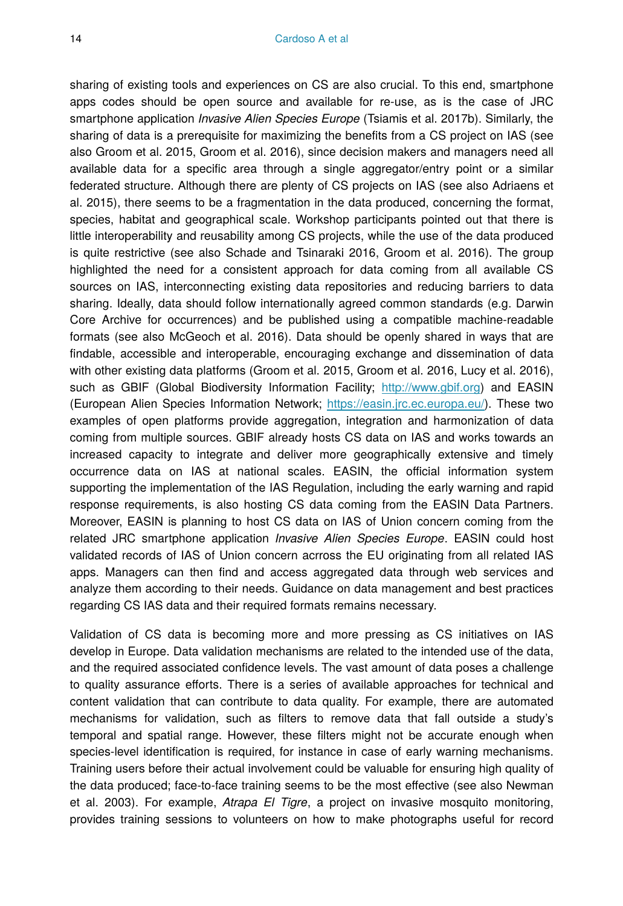sharing of existing tools and experiences on CS are also crucial. To this end, smartphone apps codes should be open source and available for re-use, as is the case of JRC smartphone application *Invasive Alien Species Europe* (Tsiamis et al. 2017b). Similarly, the sharing of data is a prerequisite for maximizing the benefits from a CS project on IAS (see also Groom et al. 2015, Groom et al. 2016), since decision makers and managers need all available data for a specific area through a single aggregator/entry point or a similar federated structure. Although there are plenty of CS projects on IAS (see also Adriaens et al. 2015), there seems to be a fragmentation in the data produced, concerning the format, species, habitat and geographical scale. Workshop participants pointed out that there is little interoperability and reusability among CS projects, while the use of the data produced is quite restrictive (see also Schade and Tsinaraki 2016, Groom et al. 2016). The group highlighted the need for a consistent approach for data coming from all available CS sources on IAS, interconnecting existing data repositories and reducing barriers to data sharing. Ideally, data should follow internationally agreed common standards (e.g. Darwin Core Archive for occurrences) and be published using a compatible machine-readable formats (see also McGeoch et al. 2016). Data should be openly shared in ways that are findable, accessible and interoperable, encouraging exchange and dissemination of data with other existing data platforms (Groom et al. 2015, Groom et al. 2016, Lucy et al. 2016), such as GBIF (Global Biodiversity Information Facility; [http://www.gbif.org](http://www.gbif.org/)) and EASIN (European Alien Species Information Network; <https://easin.jrc.ec.europa.eu/>). These two examples of open platforms provide aggregation, integration and harmonization of data coming from multiple sources. GBIF already hosts CS data on IAS and works towards an increased capacity to integrate and deliver more geographically extensive and timely occurrence data on IAS at national scales. EASIN, the official information system supporting the implementation of the IAS Regulation, including the early warning and rapid response requirements, is also hosting CS data coming from the EASIN Data Partners. Moreover, EASIN is planning to host CS data on IAS of Union concern coming from the related JRC smartphone application *Invasive Alien Species Europe*. EASIN could host validated records of IAS of Union concern acrross the EU originating from all related IAS apps. Managers can then find and access aggregated data through web services and analyze them according to their needs. Guidance on data management and best practices regarding CS IAS data and their required formats remains necessary.

Validation of CS data is becoming more and more pressing as CS initiatives on IAS develop in Europe. Data validation mechanisms are related to the intended use of the data, and the required associated confidence levels. The vast amount of data poses a challenge to quality assurance efforts. There is a series of available approaches for technical and content validation that can contribute to data quality. For example, there are automated mechanisms for validation, such as filters to remove data that fall outside a study's temporal and spatial range. However, these filters might not be accurate enough when species-level identification is required, for instance in case of early warning mechanisms. Training users before their actual involvement could be valuable for ensuring high quality of the data produced; face-to-face training seems to be the most effective (see also Newman et al. 2003). For example, *Atrapa El Tigre*, a project on invasive mosquito monitoring, provides training sessions to volunteers on how to make photographs useful for record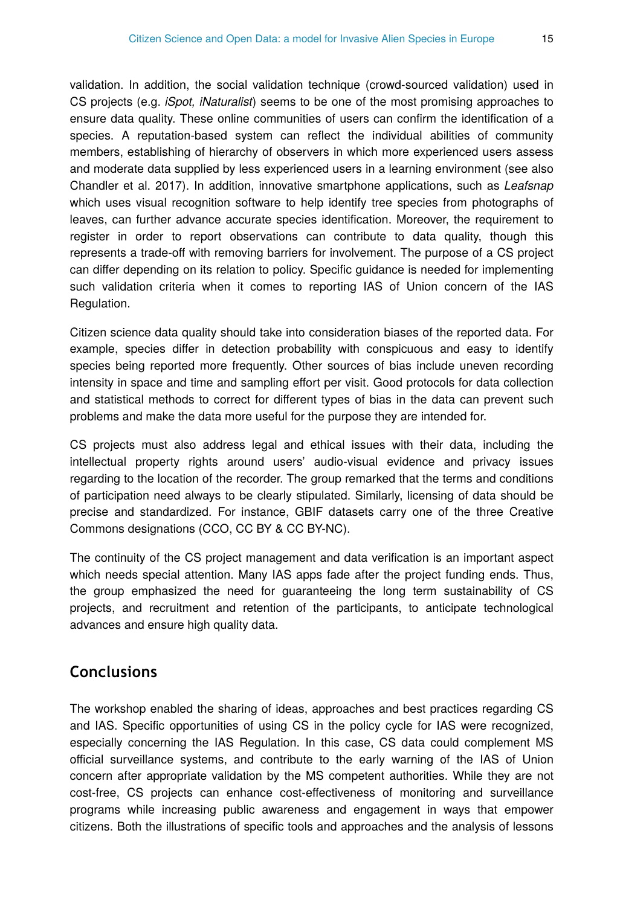validation. In addition, the social validation technique (crowd-sourced validation) used in CS projects (e.g. *iSpot, iNaturalist*) seems to be one of the most promising approaches to ensure data quality. These online communities of users can confirm the identification of a species. A reputation-based system can reflect the individual abilities of community members, establishing of hierarchy of observers in which more experienced users assess and moderate data supplied by less experienced users in a learning environment (see also Chandler et al. 2017). In addition, innovative smartphone applications, such as *Leafsnap* which uses visual recognition software to help identify tree species from photographs of leaves, can further advance accurate species identification. Moreover, the requirement to register in order to report observations can contribute to data quality, though this represents a trade-off with removing barriers for involvement. The purpose of a CS project can differ depending on its relation to policy. Specific guidance is needed for implementing such validation criteria when it comes to reporting IAS of Union concern of the IAS Regulation.

Citizen science data quality should take into consideration biases of the reported data. For example, species differ in detection probability with conspicuous and easy to identify species being reported more frequently. Other sources of bias include uneven recording intensity in space and time and sampling effort per visit. Good protocols for data collection and statistical methods to correct for different types of bias in the data can prevent such problems and make the data more useful for the purpose they are intended for.

CS projects must also address legal and ethical issues with their data, including the intellectual property rights around users' audio-visual evidence and privacy issues regarding to the location of the recorder. The group remarked that the terms and conditions of participation need always to be clearly stipulated. Similarly, licensing of data should be precise and standardized. For instance, GBIF datasets carry one of the three Creative Commons designations (CCO, CC BY & CC BY-NC).

The continuity of the CS project management and data verification is an important aspect which needs special attention. Many IAS apps fade after the project funding ends. Thus, the group emphasized the need for guaranteeing the long term sustainability of CS projects, and recruitment and retention of the participants, to anticipate technological advances and ensure high quality data.

# **Conclusions**

The workshop enabled the sharing of ideas, approaches and best practices regarding CS and IAS. Specific opportunities of using CS in the policy cycle for IAS were recognized, especially concerning the IAS Regulation. In this case, CS data could complement MS official surveillance systems, and contribute to the early warning of the IAS of Union concern after appropriate validation by the MS competent authorities. While they are not cost-free, CS projects can enhance cost-effectiveness of monitoring and surveillance programs while increasing public awareness and engagement in ways that empower citizens. Both the illustrations of specific tools and approaches and the analysis of lessons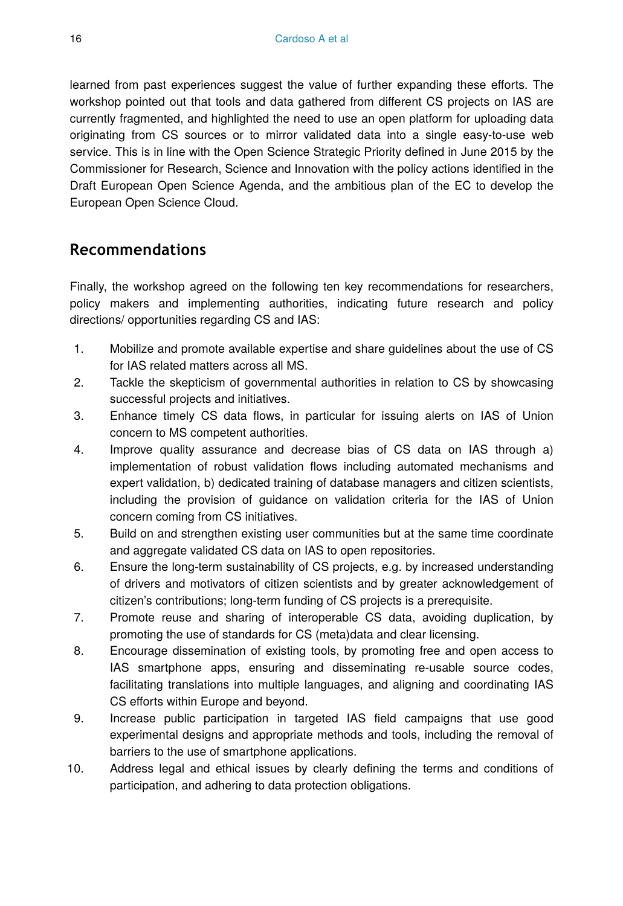learned from past experiences suggest the value of further expanding these efforts. The workshop pointed out that tools and data gathered from different CS projects on IAS are currently fragmented, and highlighted the need to use an open platform for uploading data originating from CS sources or to mirror validated data into a single easy-to-use web service. This is in line with the Open Science Strategic Priority defined in June 2015 by the Commissioner for Research, Science and Innovation with the policy actions identified in the Draft European Open Science Agenda, and the ambitious plan of the EC to develop the European Open Science Cloud.

# **Recommendations**

Finally, the workshop agreed on the following ten key recommendations for researchers, policy makers and implementing authorities, indicating future research and policy directions/ opportunities regarding CS and IAS:

- 1. Mobilize and promote available expertise and share guidelines about the use of CS for IAS related matters across all MS.
- 2. Tackle the skepticism of governmental authorities in relation to CS by showcasing successful projects and initiatives.
- 3. Enhance timely CS data flows, in particular for issuing alerts on IAS of Union concern to MS competent authorities.
- 4. Improve quality assurance and decrease bias of CS data on IAS through a) implementation of robust validation flows including automated mechanisms and expert validation, b) dedicated training of database managers and citizen scientists, including the provision of guidance on validation criteria for the IAS of Union concern coming from CS initiatives.
- 5. Build on and strengthen existing user communities but at the same time coordinate and aggregate validated CS data on IAS to open repositories.
- 6. Ensure the long-term sustainability of CS projects, e.g. by increased understanding of drivers and motivators of citizen scientists and by greater acknowledgement of citizen's contributions; long-term funding of CS projects is a prerequisite.
- 7. Promote reuse and sharing of interoperable CS data, avoiding duplication, by promoting the use of standards for CS (meta)data and clear licensing.
- 8. Encourage dissemination of existing tools, by promoting free and open access to IAS smartphone apps, ensuring and disseminating re-usable source codes, facilitating translations into multiple languages, and aligning and coordinating IAS CS efforts within Europe and beyond.
- 9. Increase public participation in targeted IAS field campaigns that use good experimental designs and appropriate methods and tools, including the removal of barriers to the use of smartphone applications.
- 10. Address legal and ethical issues by clearly defining the terms and conditions of participation, and adhering to data protection obligations.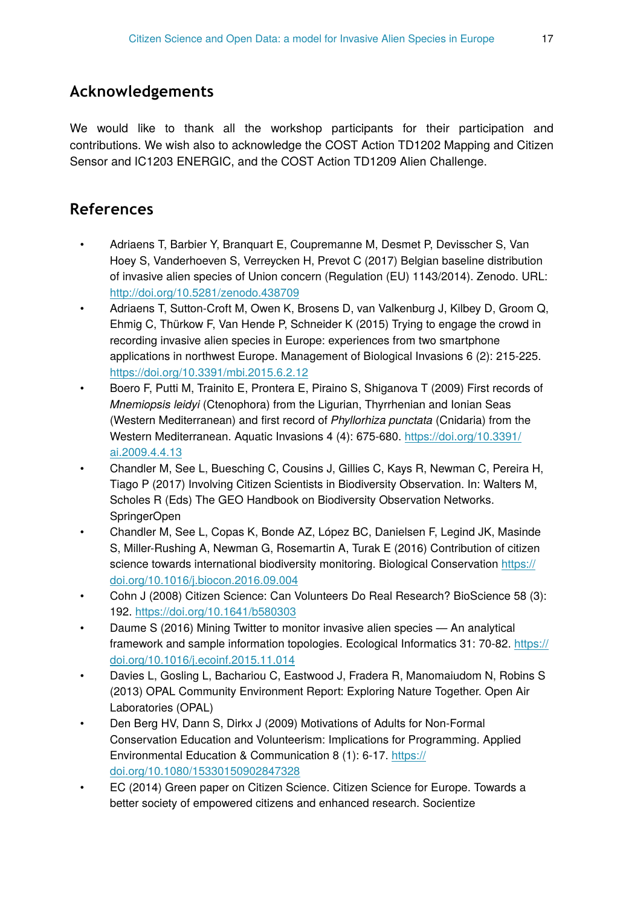# **Acknowledgements**

We would like to thank all the workshop participants for their participation and contributions. We wish also to acknowledge the COST Action TD1202 Mapping and Citizen Sensor and IC1203 ENERGIC, and the COST Action TD1209 Alien Challenge.

# **References**

- Adriaens T, Barbier Y, Branquart E, Coupremanne M, Desmet P, Devisscher S, Van Hoey S, Vanderhoeven S, Verreycken H, Prevot C (2017) Belgian baseline distribution of invasive alien species of Union concern (Regulation (EU) 1143/2014). Zenodo. URL: <http://doi.org/10.5281/zenodo.438709>
- Adriaens T, Sutton-Croft M, Owen K, Brosens D, van Valkenburg J, Kilbey D, Groom Q, Ehmig C, Thürkow F, Van Hende P, Schneider K (2015) Trying to engage the crowd in recording invasive alien species in Europe: experiences from two smartphone applications in northwest Europe. Management of Biological Invasions 6 (2): 215‑225. <https://doi.org/10.3391/mbi.2015.6.2.12>
- Boero F, Putti M, Trainito E, Prontera E, Piraino S, Shiganova T (2009) First records of *Mnemiopsis leidyi* (Ctenophora) from the Ligurian, Thyrrhenian and Ionian Seas (Western Mediterranean) and first record of *Phyllorhiza punctata* (Cnidaria) from the Western Mediterranean. Aquatic Invasions 4 (4): 675‑680. [https://doi.org/10.3391/](https://doi.org/10.3391/ai.2009.4.4.13) [ai.2009.4.4.13](https://doi.org/10.3391/ai.2009.4.4.13)
- Chandler M, See L, Buesching C, Cousins J, Gillies C, Kays R, Newman C, Pereira H, Tiago P (2017) Involving Citizen Scientists in Biodiversity Observation. In: Walters M, Scholes R (Eds) The GEO Handbook on Biodiversity Observation Networks. SpringerOpen
- Chandler M, See L, Copas K, Bonde AZ, López BC, Danielsen F, Legind JK, Masinde S, Miller-Rushing A, Newman G, Rosemartin A, Turak E (2016) Contribution of citizen science towards international biodiversity monitoring. Biological Conservation [https://](https://doi.org/10.1016/j.biocon.2016.09.004) [doi.org/10.1016/j.biocon.2016.09.004](https://doi.org/10.1016/j.biocon.2016.09.004)
- Cohn J (2008) Citizen Science: Can Volunteers Do Real Research? BioScience 58 (3): 192.<https://doi.org/10.1641/b580303>
- Daume S (2016) Mining Twitter to monitor invasive alien species An analytical framework and sample information topologies. Ecological Informatics 31: 70-82. [https://](https://doi.org/10.1016/j.ecoinf.2015.11.014) [doi.org/10.1016/j.ecoinf.2015.11.014](https://doi.org/10.1016/j.ecoinf.2015.11.014)
- Davies L, Gosling L, Bachariou C, Eastwood J, Fradera R, Manomaiudom N, Robins S (2013) OPAL Community Environment Report: Exploring Nature Together. Open Air Laboratories (OPAL)
- Den Berg HV, Dann S, Dirkx J (2009) Motivations of Adults for Non-Formal Conservation Education and Volunteerism: Implications for Programming. Applied Environmental Education & Communication 8 (1): 6‑17. [https://](https://doi.org/10.1080/15330150902847328) [doi.org/10.1080/15330150902847328](https://doi.org/10.1080/15330150902847328)
- EC (2014) Green paper on Citizen Science. Citizen Science for Europe. Towards a better society of empowered citizens and enhanced research. Socientize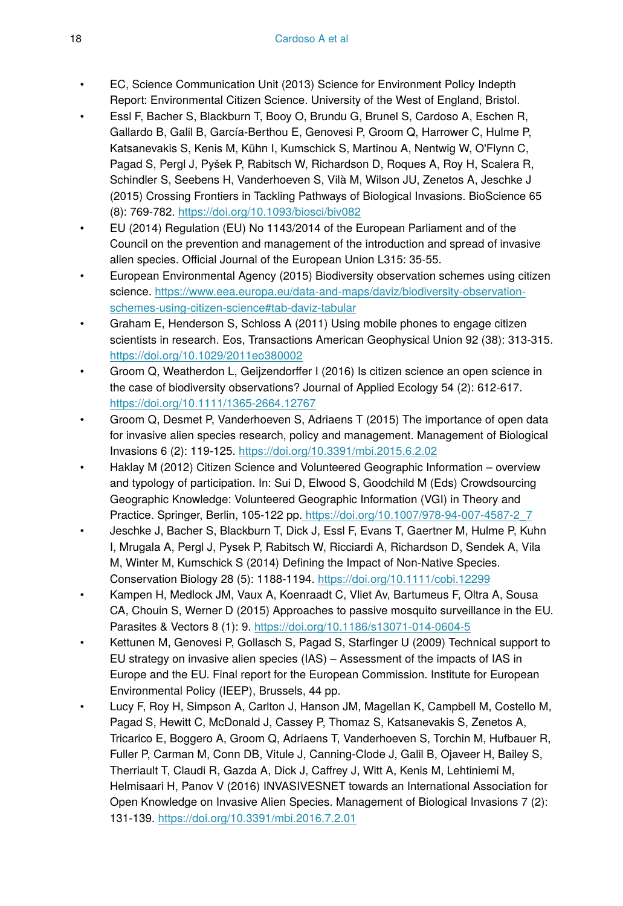- EC, Science Communication Unit (2013) Science for Environment Policy Indepth Report: Environmental Citizen Science. University of the West of England, Bristol.
- Essl F, Bacher S, Blackburn T, Booy O, Brundu G, Brunel S, Cardoso A, Eschen R, Gallardo B, Galil B, García-Berthou E, Genovesi P, Groom Q, Harrower C, Hulme P, Katsanevakis S, Kenis M, Kühn I, Kumschick S, Martinou A, Nentwig W, O'Flynn C, Pagad S, Pergl J, Pyšek P, Rabitsch W, Richardson D, Roques A, Roy H, Scalera R, Schindler S, Seebens H, Vanderhoeven S, Vilà M, Wilson JU, Zenetos A, Jeschke J (2015) Crossing Frontiers in Tackling Pathways of Biological Invasions. BioScience 65 (8): 769‑782. <https://doi.org/10.1093/biosci/biv082>
- EU (2014) Regulation (EU) No 1143/2014 of the European Parliament and of the Council on the prevention and management of the introduction and spread of invasive alien species. Official Journal of the European Union L315: 35‑55.
- European Environmental Agency (2015) Biodiversity observation schemes using citizen science. [https://www.eea.europa.eu/data-and-maps/daviz/biodiversity-observation](https://www.eea.europa.eu/data-and-maps/daviz/biodiversity-observation-schemes-using-citizen-science#tab-daviz-tabular)[schemes-using-citizen-science#tab-daviz-tabular](https://www.eea.europa.eu/data-and-maps/daviz/biodiversity-observation-schemes-using-citizen-science#tab-daviz-tabular)
- Graham E, Henderson S, Schloss A (2011) Using mobile phones to engage citizen scientists in research. Eos, Transactions American Geophysical Union 92 (38): 313-315. <https://doi.org/10.1029/2011eo380002>
- Groom Q, Weatherdon L, Geijzendorffer I (2016) Is citizen science an open science in the case of biodiversity observations? Journal of Applied Ecology 54 (2): 612‑617. <https://doi.org/10.1111/1365-2664.12767>
- Groom Q, Desmet P, Vanderhoeven S, Adriaens T (2015) The importance of open data for invasive alien species research, policy and management. Management of Biological Invasions 6 (2): 119‑125.<https://doi.org/10.3391/mbi.2015.6.2.02>
- Haklay M (2012) Citizen Science and Volunteered Geographic Information overview and typology of participation. In: Sui D, Elwood S, Goodchild M (Eds) Crowdsourcing Geographic Knowledge: Volunteered Geographic Information (VGI) in Theory and Practice. Springer, Berlin, 105-122 pp. [https://doi.org/10.1007/978-94-007-4587-2\\_7](https://doi.org/10.1007/978-94-007-4587-2_7)
- Jeschke J, Bacher S, Blackburn T, Dick J, Essl F, Evans T, Gaertner M, Hulme P, Kuhn I, Mrugala A, Pergl J, Pysek P, Rabitsch W, Ricciardi A, Richardson D, Sendek A, Vila M, Winter M, Kumschick S (2014) Defining the Impact of Non-Native Species. Conservation Biology 28 (5): 1188‑1194.<https://doi.org/10.1111/cobi.12299>
- Kampen H, Medlock JM, Vaux A, Koenraadt C, Vliet Av, Bartumeus F, Oltra A, Sousa CA, Chouin S, Werner D (2015) Approaches to passive mosquito surveillance in the EU. Parasites & Vectors 8 (1): 9. <https://doi.org/10.1186/s13071-014-0604-5>
- Kettunen M, Genovesi P, Gollasch S, Pagad S, Starfinger U (2009) Technical support to EU strategy on invasive alien species (IAS) – Assessment of the impacts of IAS in Europe and the EU. Final report for the European Commission. Institute for European Environmental Policy (IEEP), Brussels, 44 pp.
- Lucy F, Roy H, Simpson A, Carlton J, Hanson JM, Magellan K, Campbell M, Costello M, Pagad S, Hewitt C, McDonald J, Cassey P, Thomaz S, Katsanevakis S, Zenetos A, Tricarico E, Boggero A, Groom Q, Adriaens T, Vanderhoeven S, Torchin M, Hufbauer R, Fuller P, Carman M, Conn DB, Vitule J, Canning-Clode J, Galil B, Ojaveer H, Bailey S, Therriault T, Claudi R, Gazda A, Dick J, Caffrey J, Witt A, Kenis M, Lehtiniemi M, Helmisaari H, Panov V (2016) INVASIVESNET towards an International Association for Open Knowledge on Invasive Alien Species. Management of Biological Invasions 7 (2): 131‑139. <https://doi.org/10.3391/mbi.2016.7.2.01>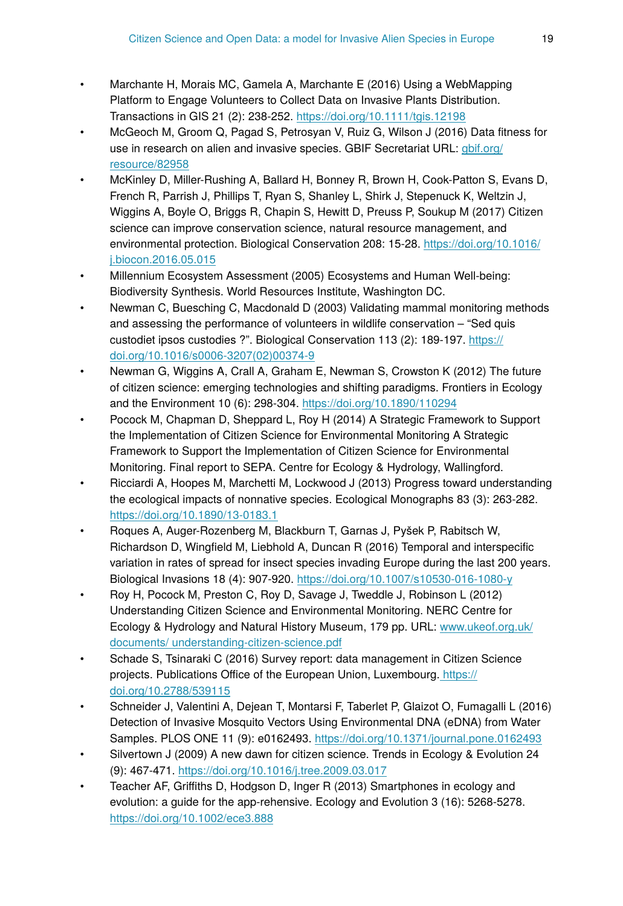- Marchante H, Morais MC, Gamela A, Marchante E (2016) Using a WebMapping Platform to Engage Volunteers to Collect Data on Invasive Plants Distribution. Transactions in GIS 21 (2): 238‑252.<https://doi.org/10.1111/tgis.12198>
- McGeoch M, Groom Q, Pagad S, Petrosyan V, Ruiz G, Wilson J (2016) Data fitness for use in research on alien and invasive species. GBIF Secretariat URL: [gbif.org/](http://gbif.org/resource/82958) [resource/82958](http://gbif.org/resource/82958)
- McKinley D, Miller-Rushing A, Ballard H, Bonney R, Brown H, Cook-Patton S, Evans D, French R, Parrish J, Phillips T, Ryan S, Shanley L, Shirk J, Stepenuck K, Weltzin J, Wiggins A, Boyle O, Briggs R, Chapin S, Hewitt D, Preuss P, Soukup M (2017) Citizen science can improve conservation science, natural resource management, and environmental protection. Biological Conservation 208: 15-28. [https://doi.org/10.1016/](https://doi.org/10.1016/j.biocon.2016.05.015) [j.biocon.2016.05.015](https://doi.org/10.1016/j.biocon.2016.05.015)
- Millennium Ecosystem Assessment (2005) Ecosystems and Human Well-being: Biodiversity Synthesis. World Resources Institute, Washington DC.
- Newman C, Buesching C, Macdonald D (2003) Validating mammal monitoring methods and assessing the performance of volunteers in wildlife conservation – "Sed quis custodiet ipsos custodies ?". Biological Conservation 113 (2): 189-197. [https://](https://doi.org/10.1016/s0006-3207(02)00374-9) [doi.org/10.1016/s0006-3207\(02\)00374-9](https://doi.org/10.1016/s0006-3207(02)00374-9)
- Newman G, Wiggins A, Crall A, Graham E, Newman S, Crowston K (2012) The future of citizen science: emerging technologies and shifting paradigms. Frontiers in Ecology and the Environment 10 (6): 298‑304. <https://doi.org/10.1890/110294>
- Pocock M, Chapman D, Sheppard L, Roy H (2014) A Strategic Framework to Support the Implementation of Citizen Science for Environmental Monitoring A Strategic Framework to Support the Implementation of Citizen Science for Environmental Monitoring. Final report to SEPA. Centre for Ecology & Hydrology, Wallingford.
- Ricciardi A, Hoopes M, Marchetti M, Lockwood J (2013) Progress toward understanding the ecological impacts of nonnative species. Ecological Monographs 83 (3): 263‑282. <https://doi.org/10.1890/13-0183.1>
- Roques A, Auger-Rozenberg M, Blackburn T, Garnas J, Pyšek P, Rabitsch W, Richardson D, Wingfield M, Liebhold A, Duncan R (2016) Temporal and interspecific variation in rates of spread for insect species invading Europe during the last 200 years. Biological Invasions 18 (4): 907‑920. <https://doi.org/10.1007/s10530-016-1080-y>
- Roy H, Pocock M, Preston C, Roy D, Savage J, Tweddle J, Robinson L (2012) Understanding Citizen Science and Environmental Monitoring. NERC Centre for Ecology & Hydrology and Natural History Museum, 179 pp. URL: [www.ukeof.org.uk/](http://www.ukeof.org.uk/documents/%20understanding-citizen-science.pdf) [documents/ understanding-citizen-science.pdf](http://www.ukeof.org.uk/documents/%20understanding-citizen-science.pdf)
- Schade S, Tsinaraki C (2016) Survey report: data management in Citizen Science projects. Publications Office of the European Union, Luxembourg. [https://](https://doi.org/10.2788/539115) [doi.org/10.2788/539115](https://doi.org/10.2788/539115)
- Schneider J, Valentini A, Dejean T, Montarsi F, Taberlet P, Glaizot O, Fumagalli L (2016) Detection of Invasive Mosquito Vectors Using Environmental DNA (eDNA) from Water Samples. PLOS ONE 11 (9): e0162493.<https://doi.org/10.1371/journal.pone.0162493>
- Silvertown J (2009) A new dawn for citizen science. Trends in Ecology & Evolution 24 (9): 467‑471. <https://doi.org/10.1016/j.tree.2009.03.017>
- Teacher AF, Griffiths D, Hodgson D, Inger R (2013) Smartphones in ecology and evolution: a guide for the app-rehensive. Ecology and Evolution 3 (16): 5268‑5278. <https://doi.org/10.1002/ece3.888>